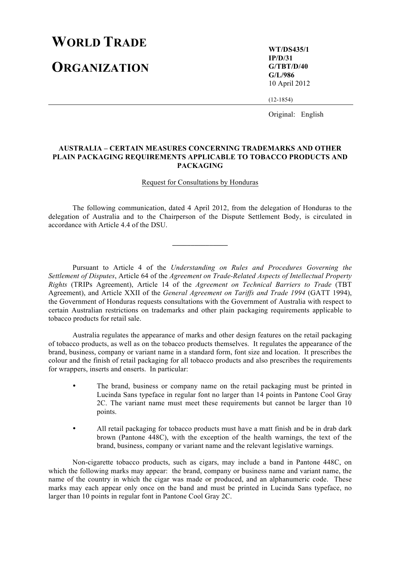## **WORLD TRADE**

**ORGANIZATION**

**WT/DS435/1 IP/D/31 G/TBT/D/40 G/L/986** 10 April 2012

(12-1854)

Original: English

## **AUSTRALIA – CERTAIN MEASURES CONCERNING TRADEMARKS AND OTHER PLAIN PACKAGING REQUIREMENTS APPLICABLE TO TOBACCO PRODUCTS AND PACKAGING**

## Request for Consultations by Honduras

The following communication, dated 4 April 2012, from the delegation of Honduras to the delegation of Australia and to the Chairperson of the Dispute Settlement Body, is circulated in accordance with Article 4.4 of the DSU.

**\_\_\_\_\_\_\_\_\_\_\_\_\_\_\_**

Pursuant to Article 4 of the *Understanding on Rules and Procedures Governing the Settlement of Disputes*, Article 64 of the *Agreement on Trade-Related Aspects of Intellectual Property Rights* (TRIPs Agreement), Article 14 of the *Agreement on Technical Barriers to Trade* (TBT Agreement), and Article XXII of the *General Agreement on Tariffs and Trade 1994* (GATT 1994), the Government of Honduras requests consultations with the Government of Australia with respect to certain Australian restrictions on trademarks and other plain packaging requirements applicable to tobacco products for retail sale.

Australia regulates the appearance of marks and other design features on the retail packaging of tobacco products, as well as on the tobacco products themselves. It regulates the appearance of the brand, business, company or variant name in a standard form, font size and location. It prescribes the colour and the finish of retail packaging for all tobacco products and also prescribes the requirements for wrappers, inserts and onserts. In particular:

- The brand, business or company name on the retail packaging must be printed in Lucinda Sans typeface in regular font no larger than 14 points in Pantone Cool Gray 2C. The variant name must meet these requirements but cannot be larger than 10 points.
- All retail packaging for tobacco products must have a matt finish and be in drab dark brown (Pantone 448C), with the exception of the health warnings, the text of the brand, business, company or variant name and the relevant legislative warnings.

Non-cigarette tobacco products, such as cigars, may include a band in Pantone 448C, on which the following marks may appear: the brand, company or business name and variant name, the name of the country in which the cigar was made or produced, and an alphanumeric code. These marks may each appear only once on the band and must be printed in Lucinda Sans typeface, no larger than 10 points in regular font in Pantone Cool Gray 2C.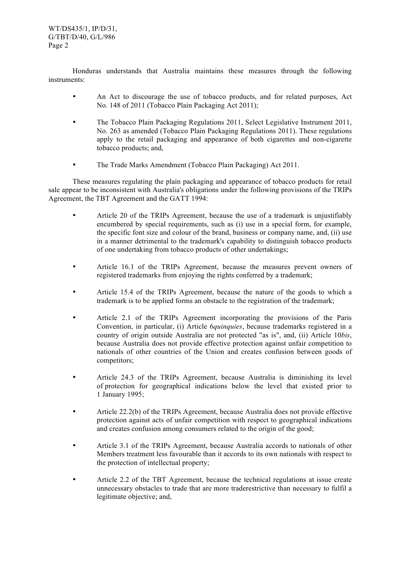WT/DS435/1, IP/D/31, G/TBT/D/40, G/L/986 Page 2

Honduras understands that Australia maintains these measures through the following instruments:

- An Act to discourage the use of tobacco products, and for related purposes, Act No. 148 of 2011 (Tobacco Plain Packaging Act 2011);
- The Tobacco Plain Packaging Regulations 2011, Select Legislative Instrument 2011, No. 263 as amended (Tobacco Plain Packaging Regulations 2011). These regulations apply to the retail packaging and appearance of both cigarettes and non-cigarette tobacco products; and,
- The Trade Marks Amendment (Tobacco Plain Packaging) Act 2011.

These measures regulating the plain packaging and appearance of tobacco products for retail sale appear to be inconsistent with Australia's obligations under the following provisions of the TRIPs Agreement, the TBT Agreement and the GATT 1994:

- Article 20 of the TRIPs Agreement, because the use of a trademark is unjustifiably encumbered by special requirements, such as (i) use in a special form, for example, the specific font size and colour of the brand, business or company name, and, (ii) use in a manner detrimental to the trademark's capability to distinguish tobacco products of one undertaking from tobacco products of other undertakings;
- Article 16.1 of the TRIPs Agreement, because the measures prevent owners of registered trademarks from enjoying the rights conferred by a trademark;
- Article 15.4 of the TRIPs Agreement, because the nature of the goods to which a trademark is to be applied forms an obstacle to the registration of the trademark;
- Article 2.1 of the TRIPs Agreement incorporating the provisions of the Paris Convention, in particular, (i) Article 6*quinquies*, because trademarks registered in a country of origin outside Australia are not protected "as is", and, (ii) Article 10*bis*, because Australia does not provide effective protection against unfair competition to nationals of other countries of the Union and creates confusion between goods of competitors;
- Article 24.3 of the TRIPs Agreement, because Australia is diminishing its level of protection for geographical indications below the level that existed prior to 1 January 1995;
- Article 22.2(b) of the TRIPs Agreement, because Australia does not provide effective protection against acts of unfair competition with respect to geographical indications and creates confusion among consumers related to the origin of the good;
- Article 3.1 of the TRIPs Agreement, because Australia accords to nationals of other Members treatment less favourable than it accords to its own nationals with respect to the protection of intellectual property;
- Article 2.2 of the TBT Agreement, because the technical regulations at issue create unnecessary obstacles to trade that are more traderestrictive than necessary to fulfil a legitimate objective; and,